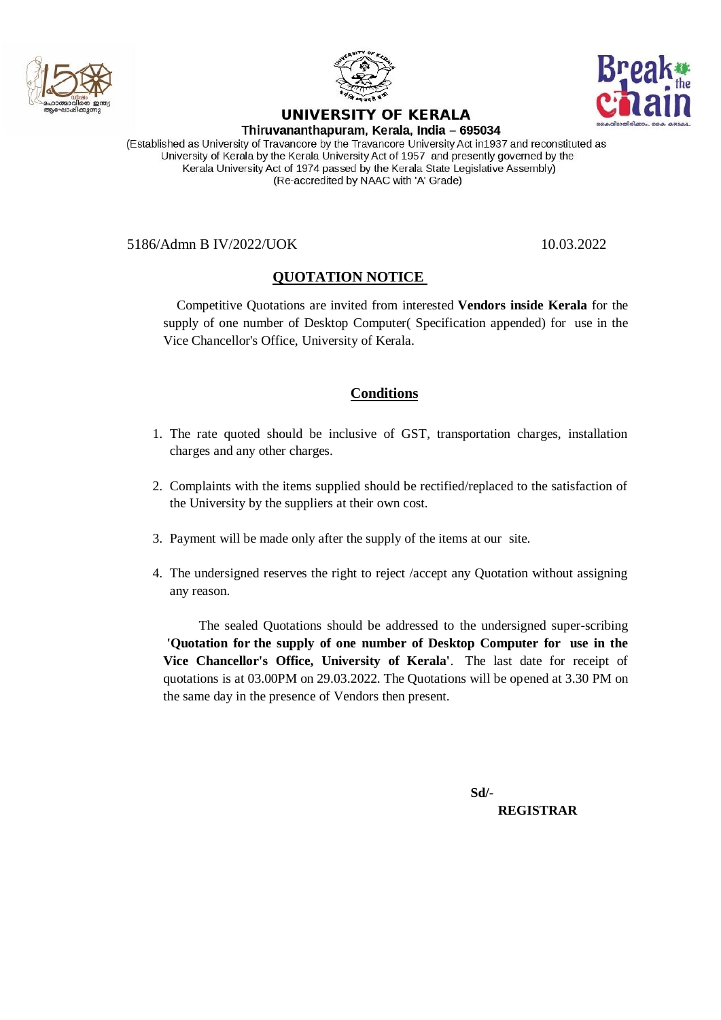



## UNIVERSITY OF KERALA



Thiruvananthapuram, Kerala, India - 695034

(Established as University of Travancore by the Travancore University Act in1937 and reconstituted as University of Kerala by the Kerala University Act of 1957 and presently governed by the Kerala University Act of 1974 passed by the Kerala State Legislative Assembly) (Re-accredited by NAAC with 'A' Grade)

5186/Admn B IV/2022/UOK 10.03.2022

## **QUOTATION NOTICE**

 Competitive Quotations are invited from interested **Vendors inside Kerala** for the supply of one number of Desktop Computer( Specification appended) for use in the Vice Chancellor's Office, University of Kerala.

## **Conditions**

- 1. The rate quoted should be inclusive of GST, transportation charges, installation charges and any other charges.
- 2. Complaints with the items supplied should be rectified/replaced to the satisfaction of the University by the suppliers at their own cost.
- 3. Payment will be made only after the supply of the items at our site.
- 4. The undersigned reserves the right to reject /accept any Quotation without assigning any reason.

 The sealed Quotations should be addressed to the undersigned super-scribing **'Quotation for the supply of one number of Desktop Computer for use in the Vice Chancellor's Office, University of Kerala'**. The last date for receipt of quotations is at 03.00PM on 29.03.2022. The Quotations will be opened at 3.30 PM on the same day in the presence of Vendors then present.

 **Sd/- REGISTRAR**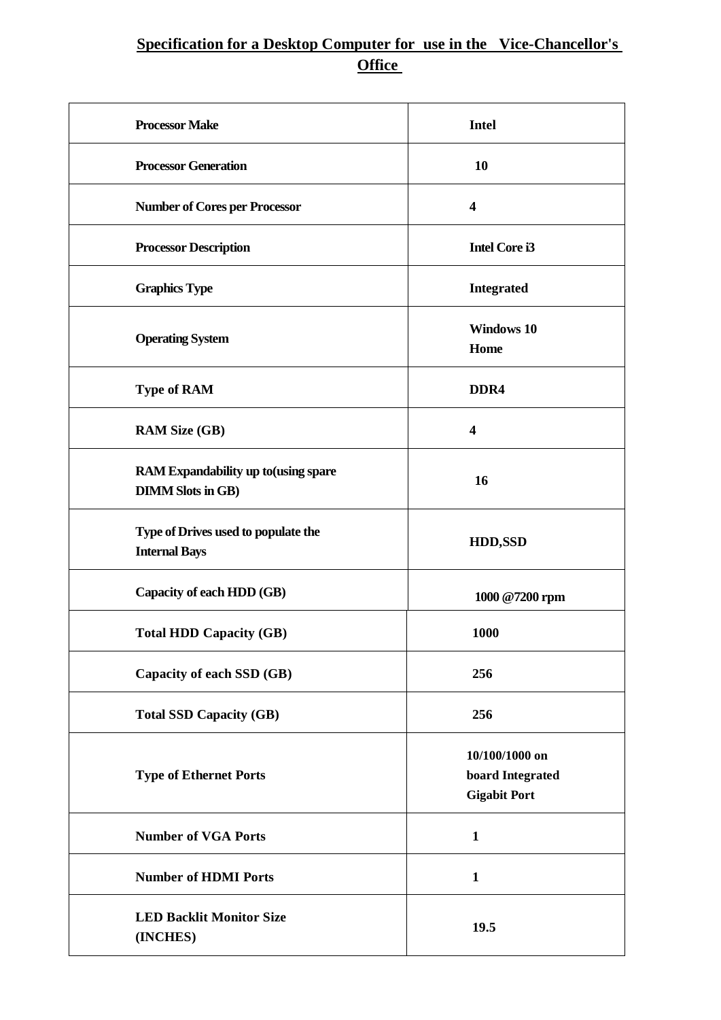## **Specification for a Desktop Computer for use in the Vice-Chancellor's Office**

| <b>Processor Make</b>                                            | <b>Intel</b>                                              |
|------------------------------------------------------------------|-----------------------------------------------------------|
| <b>Processor Generation</b>                                      | 10                                                        |
| <b>Number of Cores per Processor</b>                             | $\overline{\mathbf{4}}$                                   |
| <b>Processor Description</b>                                     | <b>Intel Core i3</b>                                      |
| <b>Graphics Type</b>                                             | <b>Integrated</b>                                         |
| <b>Operating System</b>                                          | <b>Windows 10</b><br>Home                                 |
| <b>Type of RAM</b>                                               | DDR <sub>4</sub>                                          |
| <b>RAM Size (GB)</b>                                             | $\overline{\mathbf{4}}$                                   |
| RAM Expandability up to (using spare<br><b>DIMM Slots in GB)</b> | 16                                                        |
| Type of Drives used to populate the<br><b>Internal Bays</b>      | <b>HDD,SSD</b>                                            |
| Capacity of each HDD (GB)                                        | 1000 @7200 rpm                                            |
| <b>Total HDD Capacity (GB)</b>                                   | 1000                                                      |
| Capacity of each SSD (GB)                                        | 256                                                       |
| <b>Total SSD Capacity (GB)</b>                                   | 256                                                       |
| <b>Type of Ethernet Ports</b>                                    | 10/100/1000 on<br>board Integrated<br><b>Gigabit Port</b> |
| <b>Number of VGA Ports</b>                                       | $\mathbf{1}$                                              |
| <b>Number of HDMI Ports</b>                                      | $\mathbf{1}$                                              |
| <b>LED Backlit Monitor Size</b><br>(INCHES)                      | 19.5                                                      |